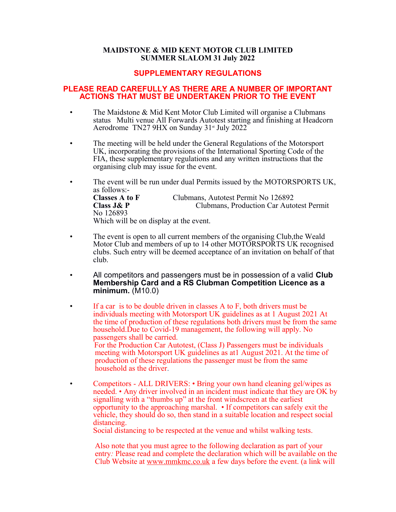#### **MAIDSTONE & MID KENT MOTOR CLUB LIMITED SUMMER SLALOM 31 July 2022**

### **SUPPLEMENTARY REGULATIONS**

### **PLEASE READ CAREFULLY AS THERE ARE A NUMBER OF IMPORTANT ACTIONS THAT MUST BE UNDERTAKEN PRIOR TO THE EVENT**

- The Maidstone & Mid Kent Motor Club Limited will organise a Clubmans status Multi venue All Forwards Autotest starting and finishing at Headcorn Aerodrome  $TN279HX$  on Sunday  $31^{\text{st}}$  July 2022
- The meeting will be held under the General Regulations of the Motorsport UK, incorporating the provisions of the International Sporting Code of the FIA, these supplementary regulations and any written instructions that the organising club may issue for the event.
- The event will be run under dual Permits issued by the MOTORSPORTS UK, as follows:- **Classes A to F** Clubmans, Autotest Permit No 126892 **Class J& P** Clubmans, Production Car Autotest Permit No 126893 Which will be on display at the event.
- The event is open to all current members of the organising Club, the Weald Motor Club and members of up to 14 other MOTORSPORTS UK recognised clubs. Such entry will be deemed acceptance of an invitation on behalf of that club.
- All competitors and passengers must be in possession of a valid **Club Membership Card and a RS Clubman Competition Licence as a minimum.** (M10.0)
- If a car is to be double driven in classes  $A$  to  $F$ , both drivers must be individuals meeting with Motorsport UK guidelines as at 1 August 2021 At the time of production of these regulations both drivers must be from the same household.Due to Covid-19 management, the following will apply. No passengers shall be carried. For the Production Car Autotest, (Class J) Passengers must be individuals meeting with Motorsport UK guidelines as at1 August 2021. At the time of production of these regulations the passenger must be from the same household as the driver.
- Competitors ALL DRIVERS: Bring your own hand cleaning gel/wipes as needed. • Any driver involved in an incident must indicate that they are OK by signalling with a "thumbs up" at the front windscreen at the earliest opportunity to the approaching marshal. • If competitors can safely exit the vehicle, they should do so, then stand in a suitable location and respect social distancing.

Social distancing to be respected at the venue and whilst walking tests.

Also note that you must agree to the following declaration as part of your entry*:* Please read and complete the declaration which will be available on the Club Website at [www.mmkmc.co.uk](http://www.mmkmc.co.uk/) a few days before the event. (a link will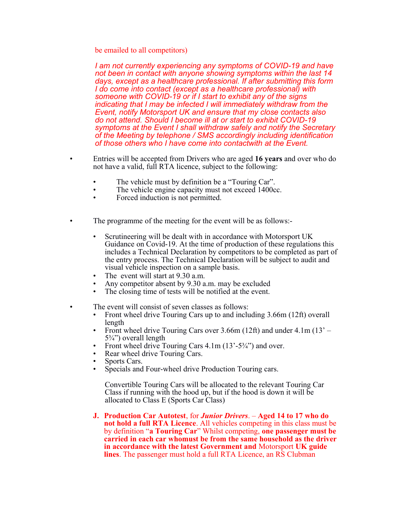be emailed to all competitors)

*I am not currently experiencing any symptoms of COVID-19 and have not been in contact with anyone showing symptoms within the last 14 days, except as a healthcare professional. If after submitting this form I do come into contact (except as a healthcare professional) with someone with COVID-19 or if I start to exhibit any of the signs indicating that I may be infected I will immediately withdraw from the Event, notify Motorsport UK and ensure that my close contacts also do not attend. Should I become ill at or start to exhibit COVID-19 symptoms at the Event I shall withdraw safely and notify the Secretary of the Meeting by telephone / SMS accordingly including identification of those others who I have come into contactwith at the Event.*

- Entries will be accepted from Drivers who are aged **16 years** and over who do not have a valid, full RTA licence, subject to the following:
	- The vehicle must by definition be a "Touring Car".
	- The vehicle engine capacity must not exceed 1400cc.
	- Forced induction is not permitted.
- The programme of the meeting for the event will be as follows:-
	- Scrutineering will be dealt with in accordance with Motorsport UK Guidance on Covid-19. At the time of production of these regulations this includes a Technical Declaration by competitors to be completed as part of the entry process. The Technical Declaration will be subject to audit and visual vehicle inspection on a sample basis.
	- The event will start at 9.30 a.m.
	- Any competitor absent by  $9.30$  a.m. may be excluded<br>• The closing time of tests will be notified at the event
	- The closing time of tests will be notified at the event.
- The event will consist of seven classes as follows:
	- Front wheel drive Touring Cars up to and including 3.66m (12ft) overall length
	- Front wheel drive Touring Cars over 3.66m (12ft) and under 4.1m (13' 5¾") overall length
	- Front wheel drive Touring Cars 4.1m (13'-5<sup>3</sup>/4") and over.
	- Rear wheel drive Touring Cars.
	- Sports Cars.
	- Specials and Four-wheel drive Production Touring cars.

Convertible Touring Cars will be allocated to the relevant Touring Car Class if running with the hood up, but if the hood is down it will be allocated to Class E (Sports Car Class)

**J. Production Car Autotest**, for *Junior Drivers*. – **Aged 14 to 17 who do not hold a full RTA Licence**. All vehicles competing in this class must be by definition "**a Touring Car**" Whilst competing, **one passenger must be carried in each car whomust be from the same household as the driver in accordance with the latest Government and** Motorsport **UK guide lines**. The passenger must hold a full RTA Licence, an RS Clubman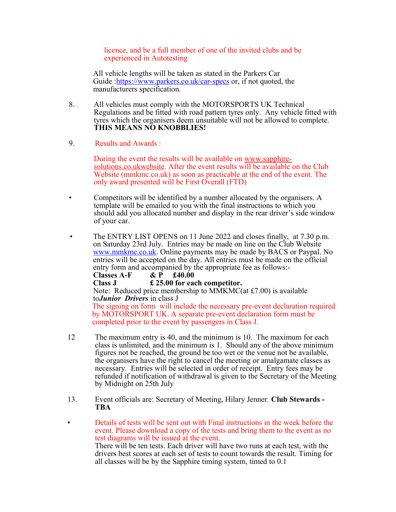licence, and be a full member of one of the invited clubs and be experienced in Autotesting

All vehicle lengths will be taken as stated in the Parkers Car Guide [:https://www.parkers.co.uk/car-specs](https://www.parkers.co.uk/car-specs) or, if not quoted, the manufacturers specification.

- 8. All vehicles must comply with the MOTORSPORTS UK Technical Regulations and be fitted with road pattern tyres only. Any vehicle fitted with tyres which the organisers deem unsuitable will not be allowed to complete. **THIS MEANS NO KNOBBLIES!**
- 9. Results and Awards :

During the event the results will be available on [www.sapphire](http://www.sapphire-solutions.co.ukwebsite/)[solutions.co.ukwebsite.](http://www.sapphire-solutions.co.ukwebsite/) After the event results will be available on the Club Website (mmkmc.co.uk) as soon as practicable at the end of the event. The only award presented will be First Overall (FTD)

- Competitors will be identified by a number allocated by the organisers. A template will be emailed to you with the final instructions to which you should add you allocated number and display in the rear driver's side window of your car.
- The ENTRY LIST OPENS on 11 June 2022 and closes finally, at 7.30 p.m. on Saturday 23rd July. Entries may be made on line on the Club Website [www.mmkmc.co.uk.](http://www.mmkmc.co.uk/) Online payments may be made by BACS or Paypal. No entries will be accepted on the day. All entries must be made on the official entry form and accompanied by the appropriate fee as follows:-

**Classes A-F & P £40.00**

**Class J £ 25.00 for each competitor.** 

Note: Reduced price membership to MMKMC(at £7.00) is available to*Junior Drivers* in class J

The signing on form will include the necessary pre-event declaration required by MOTORSPORT UK. A separate pre-event declaration form must be completed prior to the event by passengers in Class J.

- 12 The maximum entry is 40, and the minimum is 10. The maximum for each class is unlimited, and the minimum is 1. Should any of the above minimum figures not be reached, the ground be too wet or the venue not be available, the organisers have the right to cancel the meeting or amalgamate classes as necessary. Entries will be selected in order of receipt. Entry fees may be refunded if notification of withdrawal is given to the Secretary of the Meeting by Midnight on 25th July
- 13. Event officials are: Secretary of Meeting, Hilary Jenner. **Club Stewards TBA**
- Details of tests will be sent out with Final instructions in the week before the event. Please download a copy of the tests and bring them to the event as no test diagrams will be issued at the event. There will be ten tests. Each driver will have two runs at each test, with the drivers best scores at each set of tests to count towards the result. Timing for all classes will be by the Sapphire timing system, timed to 0.1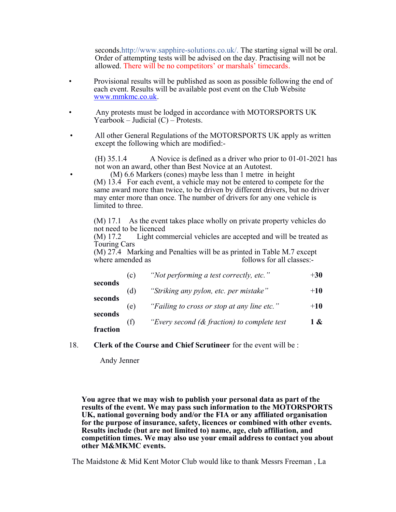seconds.http://www.sapphire-solutions.co.uk/. The starting signal will be oral. Order of attempting tests will be advised on the day. Practising will not be allowed. There will be no competitors' or marshals' timecards.

- Provisional results will be published as soon as possible following the end of each event. Results will be available post event on the Club Website [www.mmkmc.co.uk.](http://www.mmkmc.co.uk/)
- Any protests must be lodged in accordance with MOTORSPORTS UK Yearbook – Judicial  $(C)$  – Protests.
- All other General Regulations of the MOTORSPORTS UK apply as written except the following which are modified:-

(H) 35.1.4 A Novice is defined as a driver who prior to 01-01-2021 has not won an award, other than Best Novice at an Autotest.

• (M) 6.6 Markers (cones) maybe less than 1 metre in height (M) 13.4 For each event, a vehicle may not be entered to compete for the same award more than twice, to be driven by different drivers, but no driver may enter more than once. The number of drivers for any one vehicle is limited to three.

(M) 17.1 As the event takes place wholly on private property vehicles do not need to be licenced

(M) 17.2 Light commercial vehicles are accepted and will be treated as Touring Cars

(M) 27.4 Marking and Penalties will be as printed in Table M.7 except where amended as follows for all classes:-

| seconds  | (c) | "Not performing a test correctly, etc."        | $+30$ |
|----------|-----|------------------------------------------------|-------|
|          | (d) | "Striking any pylon, etc. per mistake"         | $+10$ |
| seconds  | (e) | "Failing to cross or stop at any line etc."    | $+10$ |
| seconds  | (f) | "Every second $(\&$ fraction) to complete test | 1 &   |
| fraction |     |                                                |       |

18. **Clerk of the Course and Chief Scrutineer** for the event will be :

Andy Jenner

**You agree that we may wish to publish your personal data as part of the results of the event. We may pass such information to the MOTORSPORTS UK, national governing body and/or the FIA or any affiliated organisation for the purpose of insurance, safety, licences or combined with other events. Results include (but are not limited to) name, age, club affiliation, and competition times. We may also use your email address to contact you about other M&MKMC events.**

The Maidstone & Mid Kent Motor Club would like to thank Messrs Freeman , La